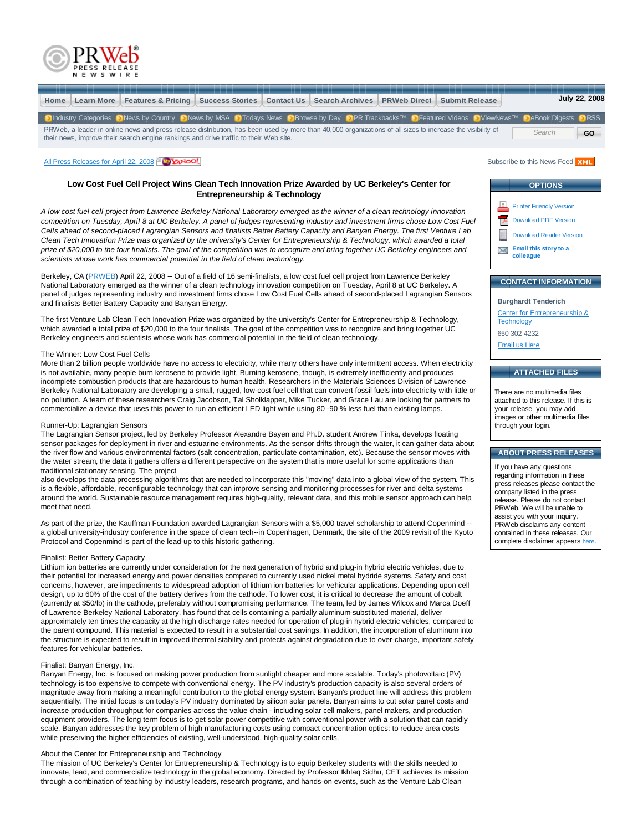



## **Low Cost Fuel Cell Project Wins Clean Tech Innovation Prize Awarded by UC Berkeley's Center for Entrepreneurship & Technology**

*A low cost fuel cell project from Lawrence Berkeley National Laboratory emerged as the winner of a clean technology innovation competition on Tuesday, April 8 at UC Berkeley. A panel of judges representing industry and investment firms chose Low Cost Fuel Cells ahead of second-placed Lagrangian Sensors and finalists Better Battery Capacity and Banyan Energy. The first Venture Lab Clean Tech Innovation Prize was organized by the university's Center for Entrepreneurship & Technology, which awarded a total prize of \$20,000 to the four finalists. The goal of the competition was to recognize and bring together UC Berkeley engineers and scientists whose work has commercial potential in the field of clean technology.*

Berkeley, CA (PRWEB) April 22, 2008 -- Out of a field of 16 semi-finalists, a low cost fuel cell project from Lawrence Berkeley National Laboratory emerged as the winner of a clean technology innovation competition on Tuesday, April 8 at UC Berkeley. A panel of judges representing industry and investment firms chose Low Cost Fuel Cells ahead of second-placed Lagrangian Sensors and finalists Better Battery Capacity and Banyan Energy.

The first Venture Lab Clean Tech Innovation Prize was organized by the university's Center for Entrepreneurship & Technology, which awarded a total prize of \$20,000 to the four finalists. The goal of the competition was to recognize and bring together UC Berkeley engineers and scientists whose work has commercial potential in the field of clean technology.

#### The Winner: Low Cost Fuel Cells

More than 2 billion people worldwide have no access to electricity, while many others have only intermittent access. When electricity is not available, many people burn kerosene to provide light. Burning kerosene, though, is extremely inefficiently and produces incomplete combustion products that are hazardous to human health. Researchers in the Materials Sciences Division of Lawrence Berkeley National Laboratory are developing a small, rugged, low-cost fuel cell that can convert fossil fuels into electricity with little or no pollution. A team of these researchers Craig Jacobson, Tal Sholklapper, Mike Tucker, and Grace Lau are looking for partners to commercialize a device that uses this power to run an efficient LED light while using 80 -90 % less fuel than existing lamps.

#### Runner-Up: Lagrangian Sensors

The Lagrangian Sensor project, led by Berkeley Professor Alexandre Bayen and Ph.D. student Andrew Tinka, develops floating sensor packages for deployment in river and estuarine environments. As the sensor drifts through the water, it can gather data about the river flow and various environmental factors (salt concentration, particulate contamination, etc). Because the sensor moves with the water stream, the data it gathers offers a different perspective on the system that is more useful for some applications than traditional stationary sensing. The project

also develops the data processing algorithms that are needed to incorporate this "moving" data into a global view of the system. This is a flexible, affordable, reconfigurable technology that can improve sensing and monitoring processes for river and delta systems around the world. Sustainable resource management requires high-quality, relevant data, and this mobile sensor approach can help meet that need.

As part of the prize, the Kauffman Foundation awarded Lagrangian Sensors with a \$5,000 travel scholarship to attend Copenmind -a global university-industry conference in the space of clean tech--in Copenhagen, Denmark, the site of the 2009 revisit of the Kyoto Protocol and Copenmind is part of the lead-up to this historic gathering.

#### Finalist: Better Battery Capacity

Lithium ion batteries are currently under consideration for the next generation of hybrid and plug-in hybrid electric vehicles, due to their potential for increased energy and power densities compared to currently used nickel metal hydride systems. Safety and cost concerns, however, are impediments to widespread adoption of lithium ion batteries for vehicular applications. Depending upon cell design, up to 60% of the cost of the battery derives from the cathode. To lower cost, it is critical to decrease the amount of cobalt (currently at \$50/lb) in the cathode, preferably without compromising performance. The team, led by James Wilcox and Marca Doeff of Lawrence Berkeley National Laboratory, has found that cells containing a partially aluminum-substituted material, deliver approximately ten times the capacity at the high discharge rates needed for operation of plug-in hybrid electric vehicles, compared to the parent compound. This material is expected to result in a substantial cost savings. In addition, the incorporation of aluminum into the structure is expected to result in improved thermal stability and protects against degradation due to over-charge, important safety features for vehicular batteries.

#### Finalist: Banyan Energy, Inc.

Banyan Energy, Inc. is focused on making power production from sunlight cheaper and more scalable. Today's photovoltaic (PV) technology is too expensive to compete with conventional energy. The PV industry's production capacity is also several orders of magnitude away from making a meaningful contribution to the global energy system. Banyan's product line will address this problem sequentially. The initial focus is on today's PV industry dominated by silicon solar panels. Banyan aims to cut solar panel costs and increase production throughput for companies across the value chain - including solar cell makers, panel makers, and production equipment providers. The long term focus is to get solar power competitive with conventional power with a solution that can rapidly scale. Banyan addresses the key problem of high manufacturing costs using compact concentration optics: to reduce area costs while preserving the higher efficiencies of existing, well-understood, high-quality solar cells.

## About the Center for Entrepreneurship and Technology

The mission of UC Berkeley's Center for Entrepreneurship & Technology is to equip Berkeley students with the skills needed to innovate, lead, and commercialize technology in the global economy. Directed by Professor Ikhlaq Sidhu, CET achieves its mission through a combination of teaching by industry leaders, research programs, and hands-on events, such as the Venture Lab Clean

| <b>OPTIONS</b> |                                    |  |
|----------------|------------------------------------|--|
|                |                                    |  |
| lΞ             | <b>Printer Friendly Version</b>    |  |
|                | <b>Download PDF Version</b>        |  |
|                | <b>Download Reader Version</b>     |  |
|                | Email this story to a<br>colleague |  |
|                |                                    |  |

# **CONTACT INFORMATION**

**Burghardt Tenderich** Center for Entrepreneurship & **Technology** 650 302 4232 Email us Here

## **ATTACHED FILES**

There are no multimedia files attached to this release. If this is your release, you may add images or other multimedia files through your login.

## **ABOUT PRESS RELEASES**

If you have any questions regarding information in these press releases please contact the company listed in the press release. Please do not contact PRWeb. We will be unable to assist you with your inquiry. PRWeb disclaims any content contained in these releases. Our complete disclaimer appears here.